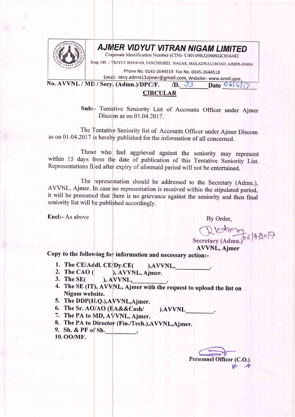

## **AJMER VIDYUT VITRAN NIGAM LIMITED**

Corporate Identification Number (CIN)- U40109RJ2000SGC016482

Resg, Off. :- VIDYUT BHAWAN, PANCHSHEEL NAGAR, MAKADWALI ROAD, AJMER-305004

Phone No. 0145-2644519 Fax No. 0145-2644518

Email:- secy.admn11ajmer@gmail.com, Website:- www.avvnl.com

No. AVVNL / MD / Secy. (Admn.)/DPC/F. *(D. 33)* Date  $\mathcal{O}b|\mathcal{Q}|$ 

**CIRCULAR** 

Sub:- Tentative Seniority List of Accounts Officer under Ajmer Discom as on  $01.04.2017$ .

The Tentative Seniority list of Accounts Officer under Ajmer Discom as on 0I -04.2017 is hereby published for the information of all concerned.

Those who feel aggrieved against the seniority may represent within 15 days from the date of publication of this Tentative Seniority List. Representations filed after expiry of aforesaid period will not be entertained.

The representation should be addressed to the Secretary (Admn.), AWNL, Ajmer. In case no representation is received within the stipulated period, it will be presumed that there is no grievance against the seniority and then final seniority list will be published accordingly.

Encl:- As above By Order,

AVVNL, Ajmer R lets 14/2017

Copy to the following for information and necessary action:-

- 1. The CE/Addl. CE/Dy.CE( ), AVVNL,
- /Dy.CE( ),AVVNL,\_<br>), AVVNL, Ajmer. 2. The CAO  $($
- $A$  VVNL, 3. The SE(
- 4. The SE (IT), AVVNL, Ajmer with the request to upload the list on Nigam website.

).AWNL

- 5. The DDP(H.Q.),AWNL,Ajmer.
- 6. The Sr. AO/AO (EA&&Cash/
- 7. The PA to MD, AVVNL, Ajmer.
- 8. The PA to Director (Fin./Tech.), AVVNL, Ajmer.
- 9. Sh. & PF of Sh.
- 10. OO/MF.

Personnel Officer (C.O.)  $n \rightarrow$